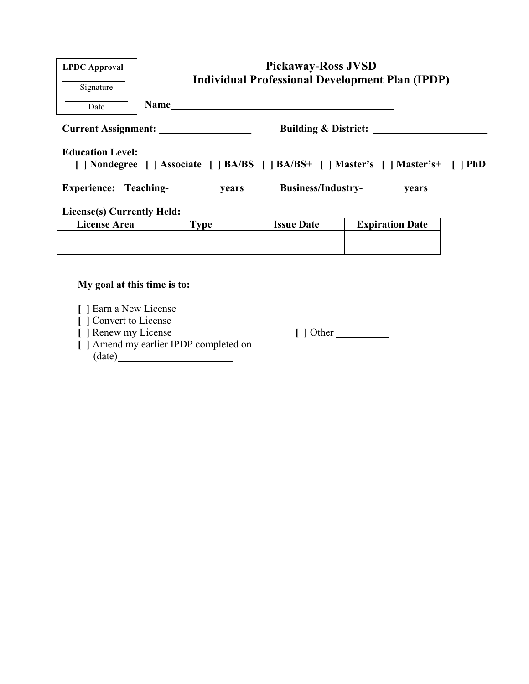| <b>LPDC</b> Approval<br>Signature                                                                              | <b>Pickaway-Ross JVSD</b><br><b>Individual Professional Development Plan (IPDP)</b> |                   |                        |  |  |
|----------------------------------------------------------------------------------------------------------------|-------------------------------------------------------------------------------------|-------------------|------------------------|--|--|
| Date                                                                                                           | <b>Name</b>                                                                         |                   |                        |  |  |
| <b>Current Assignment:</b><br><b>Building &amp; District:</b>                                                  |                                                                                     |                   |                        |  |  |
| <b>Education Level:</b><br>[   Nondegree     Associate     BA/BS     BA/BS+     Master's     Master's+     PhD |                                                                                     |                   |                        |  |  |
| Business/Industry-<br>years<br>Experience: Teaching-<br>years                                                  |                                                                                     |                   |                        |  |  |
| <b>License(s) Currently Held:</b>                                                                              |                                                                                     |                   |                        |  |  |
| <b>License Area</b>                                                                                            | <b>Type</b>                                                                         | <b>Issue Date</b> | <b>Expiration Date</b> |  |  |
|                                                                                                                |                                                                                     |                   |                        |  |  |

### **My goal at this time is to:**

- **[ ]** Earn a New License
- **[ ]** Convert to License
- 
- **[ ]** Amend my earlier IPDP completed on (date)

**[ ]** Renew my License **[ ]** Other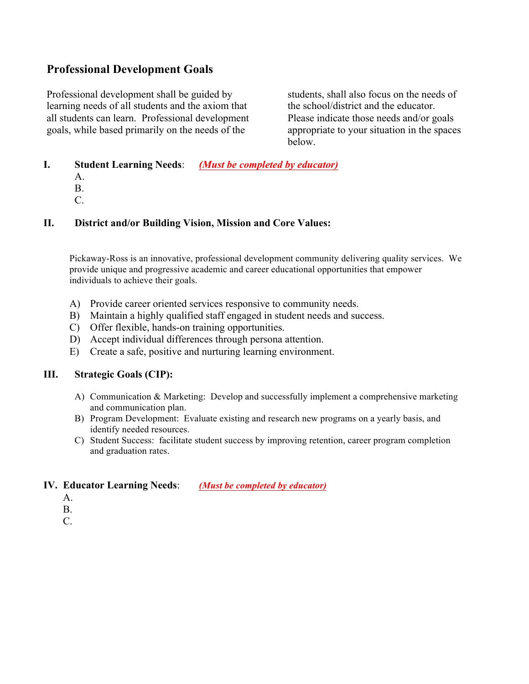### **Professional Development Goals**

Professional development shall be guided by learning needs of all students and the axiom that all students can learn. Professional development goals, while based primarily on the needs of the

students, shall also focus on the needs of the school/district and the educator. Please indicate those needs and/or goals appropriate to your situation in the spaces below.

- **I. Student Learning Needs**: *(Must be completed by educator)*
	- A.
	- B.
	- C.

#### **II. District and/or Building Vision, Mission and Core Values:**

Pickaway-Ross is an innovative, professional development community delivering quality services. We provide unique and progressive academic and career educational opportunities that empower individuals to achieve their goals.

- A) Provide career oriented services responsive to community needs.
- B) Maintain a highly qualified staff engaged in student needs and success.
- C) Offer flexible, hands-on training opportunities.
- D) Accept individual differences through persona attention.
- E) Create a safe, positive and nurturing learning environment.

#### **III. Strategic Goals (CIP):**

- A) Communication & Marketing: Develop and successfully implement a comprehensive marketing and communication plan.
- B) Program Development: Evaluate existing and research new programs on a yearly basis, and identify needed resources.
- C) Student Success: facilitate student success by improving retention, career program completion and graduation rates.

#### **IV. Educator Learning Needs**: *(Must be completed by educator)*

- A.
- B.
- C.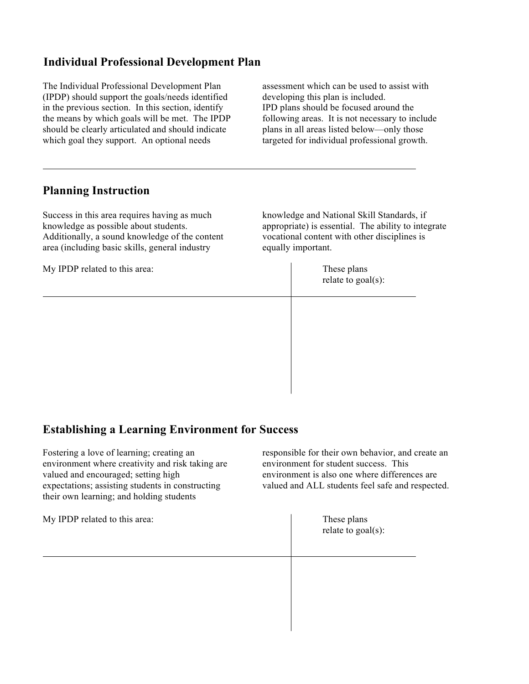## **Individual Professional Development Plan**

The Individual Professional Development Plan (IPDP) should support the goals/needs identified in the previous section. In this section, identify the means by which goals will be met. The IPDP should be clearly articulated and should indicate which goal they support. An optional needs

assessment which can be used to assist with developing this plan is included. IPD plans should be focused around the following areas. It is not necessary to include plans in all areas listed below—only those targeted for individual professional growth.

### **Planning Instruction**

Success in this area requires having as much knowledge as possible about students. Additionally, a sound knowledge of the content area (including basic skills, general industry

My IPDP related to this area: These plans

knowledge and National Skill Standards, if appropriate) is essential. The ability to integrate vocational content with other disciplines is equally important.

relate to goal(s):

# **Establishing a Learning Environment for Success**

| Fostering a love of learning; creating an<br>environment where creativity and risk taking are<br>valued and encouraged; setting high<br>expectations; assisting students in constructing<br>their own learning; and holding students | responsible for their own behavior, and create an<br>environment for student success. This<br>environment is also one where differences are<br>valued and ALL students feel safe and respected. |  |
|--------------------------------------------------------------------------------------------------------------------------------------------------------------------------------------------------------------------------------------|-------------------------------------------------------------------------------------------------------------------------------------------------------------------------------------------------|--|
| My IPDP related to this area:                                                                                                                                                                                                        | These plans<br>relate to $goal(s)$ :                                                                                                                                                            |  |
|                                                                                                                                                                                                                                      |                                                                                                                                                                                                 |  |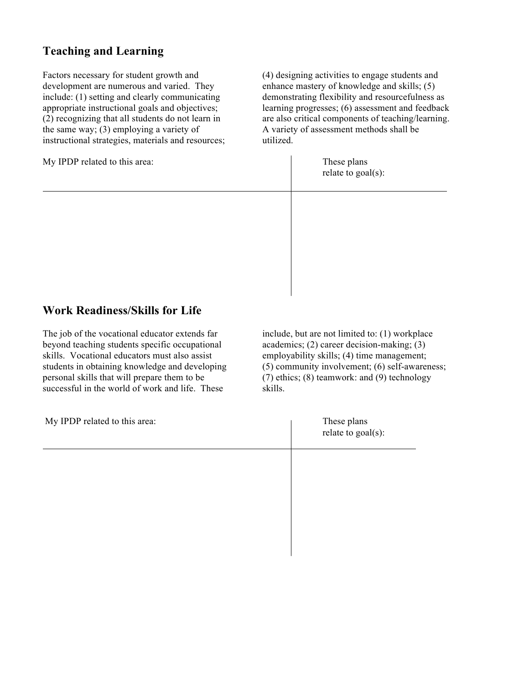## **Teaching and Learning**

Factors necessary for student growth and development are numerous and varied. They include: (1) setting and clearly communicating appropriate instructional goals and objectives; (2) recognizing that all students do not learn in the same way; (3) employing a variety of instructional strategies, materials and resources;

My IPDP related to this area: These plans

(4) designing activities to engage students and enhance mastery of knowledge and skills; (5) demonstrating flexibility and resourcefulness as learning progresses; (6) assessment and feedback are also critical components of teaching/learning. A variety of assessment methods shall be utilized.

relate to goal(s):

## **Work Readiness/Skills for Life**

The job of the vocational educator extends far beyond teaching students specific occupational skills. Vocational educators must also assist students in obtaining knowledge and developing personal skills that will prepare them to be successful in the world of work and life. These

include, but are not limited to: (1) workplace academics; (2) career decision-making; (3) employability skills; (4) time management; (5) community involvement; (6) self-awareness; (7) ethics; (8) teamwork: and (9) technology skills.

| My IPDP related to this area: | These plans<br>relate to goal(s): |
|-------------------------------|-----------------------------------|
|                               |                                   |
|                               |                                   |
|                               |                                   |
|                               |                                   |